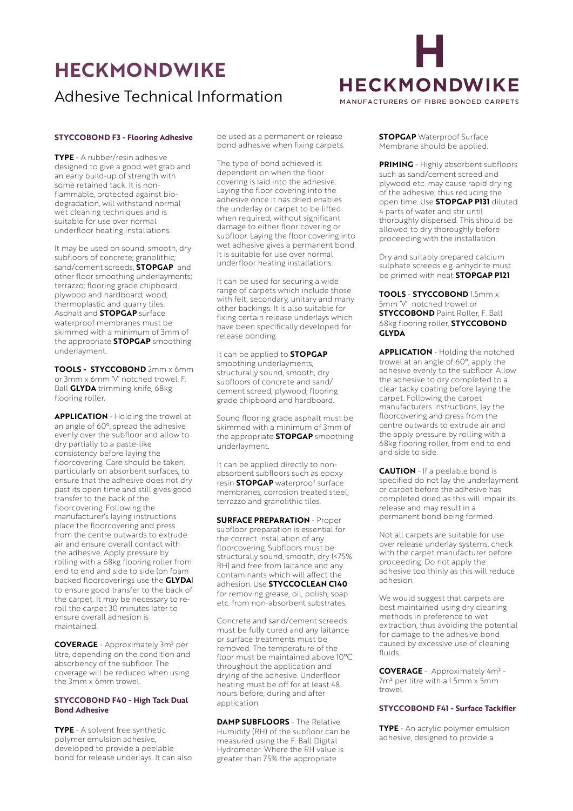# **HECKMONDWIKE**  Adhesive Technical Information



#### **STYCCOBOND F3 - Flooring Adhesive**

**TYPE** - A rubber/resin adhesive designed to give a good wet grab and an early build-up of strength with some retained tack. It is nonflammable, protected against biodegradation, will withstand normal wet cleaning techniques and is suitable for use over normal underfloor heating installations.

It may be used on sound, smooth, dry subfloors of concrete; granolithic; sand/cement screeds; **STOPGAP** and other floor smoothing underlayments; terrazzo; flooring grade chipboard, plywood and hardboard; wood; thermoplastic and quarry tiles. Asphalt and **STOPGAP** surface waterproof membranes must be skimmed with a minimum of 3mm of the appropriate **STOPGAP** smoothing underlayment.

**TOOLS - STYCCOBOND** 2mm x 6mm or 3mm x 6mm 'V' notched trowel. F. Ball **GLYDA** trimming knife, 68kg flooring roller.

**APPLICATION** - Holding the trowel at an angle of 60°, spread the adhesive evenly over the subfloor and allow to dry partially to a paste-like consistency before laying the floorcovering. Care should be taken, particularly on absorbent surfaces, to ensure that the adhesive does not dry past its open time and still gives good transfer to the back of the floorcovering. Following the manufacturer's laying instructions place the floorcovering and press from the centre outwards to extrude air and ensure overall contact with the adhesive. Apply pressure by rolling with a 68kg flooring roller from end to end and side to side (on foam backed floorcoverings use the **GLYDA**) to ensure good transfer to the back of the carpet. It may be necessary to reroll the carpet 30 minutes later to ensure overall adhesion is maintained.

**COVERAGE** - Approximately 3m² per litre, depending on the condition and absorbency of the subfloor. The coverage will be reduced when using the 3mm x 6mm trowel.

## **STYCCOBOND F40 - High Tack Dual Bond Adhesive**

**TYPE** - A solvent free synthetic polymer emulsion adhesive, developed to provide a peelable bond for release underlays. It can also be used as a permanent or release bond adhesive when fixing carpets.

The type of bond achieved is dependent on when the floor covering is laid into the adhesive. Laying the floor covering into the adhesive once it has dried enables the underlay or carpet to be lifted when required, without significant damage to either floor covering or subfloor. Laying the floor covering into wet adhesive gives a permanent bond. It is suitable for use over normal underfloor heating installations.

It can be used for securing a wide range of carpets which include those with felt, secondary, unitary and many other backings. It is also suitable for fixing certain release underlays which have been specifically developed for release bonding.

It can be applied to **STOPGAP**  smoothing underlayments, structurally sound, smooth, dry subfloors of concrete and sand/ cement screed, plywood, flooring grade chipboard and hardboard.

Sound flooring grade asphalt must be skimmed with a minimum of 3mm of the appropriate **STOPGAP** smoothing underlayment.

It can be applied directly to nonabsorbent subfloors such as epoxy resin **STOPGAP** waterproof surface membranes, corrosion treated steel, terrazzo and granolithic tiles.

**SURFACE PREPARATION** - Proper subfloor preparation is essential for the correct installation of any floorcovering. Subfloors must be structurally sound, smooth, dry (<75% RH) and free from laitance and any contaminants which will affect the adhesion. Use **STYCCOCLEAN C140**  for removing grease, oil, polish, soap etc. from non-absorbent substrates.

Concrete and sand/cement screeds must be fully cured and any laitance or surface treatments must be removed. The temperature of the floor must be maintained above 10°C throughout the application and drying of the adhesive. Underfloor heating must be off for at least 48 hours before, during and after application.

**DAMP SUBFLOORS** - The Relative Humidity (RH) of the subfloor can be measured using the F. Ball Digital Hydrometer. Where the RH value is greater than 75% the appropriate

**STOPGAP** Waterproof Surface Membrane should be applied.

**PRIMING** - Highly absorbent subfloors such as sand/cement screed and plywood etc. may cause rapid drying of the adhesive, thus reducing the open time. Use **STOPGAP P131** diluted 4 parts of water and stir until thoroughly dispersed. This should be allowed to dry thoroughly before proceeding with the installation.

Dry and suitably prepared calcium sulphate screeds e.g. anhydrite must be primed with neat **STOPGAP P121**

**TOOLS** - **STYCCOBOND** 1.5mm x 5mm 'V' notched trowel or **STYCCOBOND** Paint Roller, F. Ball 68kg flooring roller, **STYCCOBOND GLYDA**

**APPLICATION** - Holding the notched trowel at an angle of 60°, apply the adhesive evenly to the subfloor. Allow the adhesive to dry completed to a clear tacky coating before laying the carpet. Following the carpet manufacturers instructions, lay the floorcovering and press from the centre outwards to extrude air and the apply pressure by rolling with a 68kg flooring roller, from end to end and side to side.

**CAUTION** - If a peelable bond is specified do not lay the underlayment or carpet before the adhesive has completed dried as this will impair its release and may result in a permanent bond being formed.

Not all carpets are suitable for use over release underlay systems, check with the carpet manufacturer before proceeding. Do not apply the adhesive too thinly as this will reduce adhesion.

We would suggest that carpets are best maintained using dry cleaning methods in preference to wet extraction, thus avoiding the potential for damage to the adhesive bond caused by excessive use of cleaning fluids.

**COVERAGE** - Approximately 4m² - 7m² per litre with a 1.5mm x 5mm trowel.

#### **STYCCOBOND F41 - Surface Tackifier**

**TYPE** - An acrylic polymer emulsion adhesive, designed to provide a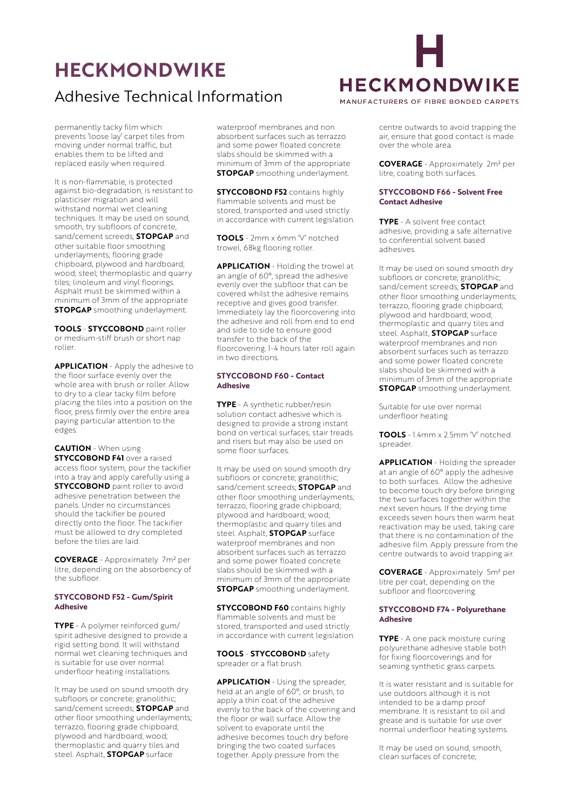# **HECKMONDWIKE**  Adhesive Technical Information



over the whole area.

permanently tacky film which prevents 'loose lay' carpet tiles from moving under normal traffic, but enables them to be lifted and replaced easily when required.

It is non-flammable, is protected against bio-degradation, is resistant to plasticiser migration and will withstand normal wet cleaning techniques. It may be used on sound, smooth, try subfloors of concrete, sand/cement screeds; **STOPGAP** and other suitable floor smoothing underlayments; flooring grade chipboard, plywood and hardboard; wood; steel; thermoplastic and quarry tiles; linoleum and vinyl floorings. Asphalt must be skimmed within a minimum of 3mm of the appropriate **STOPGAP** smoothing underlayment.

**TOOLS** - **STYCCOBOND** paint roller or medium-stiff brush or short nap roller.

**APPLICATION** - Apply the adhesive to the floor surface evenly over the whole area with brush or roller. Allow to dry to a clear tacky film before placing the tiles into a position on the floor, press firmly over the entire area paying particular attention to the edges.

**CAUTION** - When using **STYCCOBOND F41** over a raised access floor system, pour the tackifier into a tray and apply carefully using a **STYCCOBOND** paint roller to avoid adhesive penetration between the panels. Under no circumstances should the tackifier be poured directly onto the floor. The tackifier must be allowed to dry completed before the tiles are laid.

**COVERAGE** - Approximately 7m² per litre, depending on the absorbency of the subfloor.

## **STYCCOBOND F52 - Gum/Spirit Adhesive**

**TYPE** - A polymer reinforced gum/ spirit adhesive designed to provide a rigid setting bond. It will withstand normal wet cleaning techniques and is suitable for use over normal underfloor heating installations.

It may be used on sound smooth dry subfloors or concrete; granolithic; sand/cement screeds; **STOPGAP** and other floor smoothing underlayments; terrazzo, flooring grade chipboard; plywood and hardboard; wood; thermoplastic and quarry tiles and steel. Asphalt, **STOPGAP** surface

waterproof membranes and non absorbent surfaces such as terrazzo and some power floated concrete slabs should be skimmed with a minimum of 3mm of the appropriate **STOPGAP** smoothing underlayment.

**STYCCOBOND F52** contains highly flammable solvents and must be stored, transported and used strictly in accordance with current legislation.

**TOOLS** - 2mm x 6mm 'V' notched trowel, 68kg flooring roller.

**APPLICATION** - Holding the trowel at an angle of 60°, spread the adhesive evenly over the subfloor that can be covered whilst the adhesive remains receptive and gives good transfer. Immediately lay the floorcovering into the adhesive and roll from end to end and side to side to ensure good transfer to the back of the floorcovering. 1-4 hours later roll again in two directions.

#### **STYCCOBOND F60 - Contact Adhesive**

**TYPE** - A synthetic rubber/resin solution contact adhesive which is designed to provide a strong instant bond on vertical surfaces, stair treads and risers but may also be used on some floor surfaces.

It may be used on sound smooth dry subfloors or concrete; granolithic; sand/cement screeds; **STOPGAP** and other floor smoothing underlayments; terrazzo, flooring grade chipboard; plywood and hardboard; wood; thermoplastic and quarry tiles and steel. Asphalt, **STOPGAP** surface waterproof membranes and non absorbent surfaces such as terrazzo and some power floated concrete slabs should be skimmed with a minimum of 3mm of the appropriate **STOPGAP** smoothing underlayment.

**STYCCOBOND F60** contains highly flammable solvents and must be stored, transported and used strictly in accordance with current legislation.

**TOOLS** - **STYCCOBOND** safety spreader or a flat brush.

**APPLICATION** - Using the spreader, held at an angle of 60°, or brush, to apply a thin coat of the adhesive evenly to the back of the covering and the floor or wall surface. Allow the solvent to evaporate until the adhesive becomes touch dry before bringing the two coated surfaces together. Apply pressure from the

centre outwards to avoid trapping the air, ensure that good contact is made

**COVERAGE** - Approximately 2m² per litre, coating both surfaces.

## **STYCCOBOND F66 - Solvent Free Contact Adhesive**

**TYPE** - A solvent free contact adhesive, providing a safe alternative to conferential solvent based adhesives.

It may be used on sound smooth dry subfloors or concrete; granolithic; sand/cement screeds; **STOPGAP** and other floor smoothing underlayments; terrazzo, flooring grade chipboard; plywood and hardboard; wood; thermoplastic and quarry tiles and steel. Asphalt, **STOPGAP** surface waterproof membranes and non absorbent surfaces such as terrazzo and some power floated concrete slabs should be skimmed with a minimum of 3mm of the appropriate **STOPGAP** smoothing underlayment.

Suitable for use over normal underfloor heating.

**TOOLS** - 1.4mm x 2.5mm 'V' notched spreader.

**APPLICATION** - Holding the spreader at an angle of 60° apply the adhesive to both surfaces. Allow the adhesive to become touch dry before bringing the two surfaces together within the next seven hours. If the drying time exceeds seven hours then warm heat reactivation may be used, taking care that there is no contamination of the adhesive film. Apply pressure from the centre outwards to avoid trapping air.

**COVERAGE** - Approximately 5m² per litre per coat, depending on the subfloor and floorcovering.

## **STYCCOBOND F74 - Polyurethane Adhesive**

**TYPE** - A one pack moisture curing polyurethane adhesive stable both for fixing floorcoverings and for seaming synthetic grass carpets.

It is water resistant and is suitable for use outdoors although it is not intended to be a damp proof membrane. It is resistant to oil and grease and is suitable for use over normal underfloor heating systems.

It may be used on sound, smooth, clean surfaces of concrete;